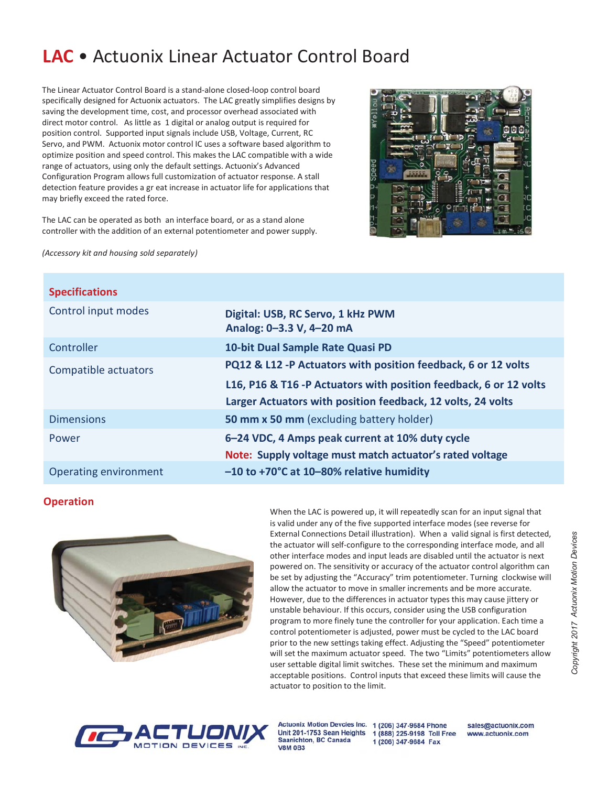# LAC • Actuonix Linear Actuator Control Board

The Linear Actuator Control Board is a stand-alone closed-loop control board specifically designed for Actuonix actuators. The LAC greatly simplifies designs by saving the development time, cost, and processor overhead associated with direct motor control. As little as 1 digital or analog output is required for position control. Supported input signals include USB, Voltage, Current, RC Servo, and PWM. Actuonix motor control IC uses a software based algorithm to optimize position and speed control. This makes the LAC compatible with a wide range of actuators, using only the default settings. Actuonix's Advanced Configuration Program allows full customization of actuator response. A stall detection feature provides a gr eat increase in actuator life for applications that may briefly exceed the rated force.

The LAC can be operated as both an interface board, or as a stand alone controller with the addition of an external potentiometer and power supply.



(Accessory kit and housing sold separately)

| <b>Specifications</b> |                                                                   |
|-----------------------|-------------------------------------------------------------------|
| Control input modes   | Digital: USB, RC Servo, 1 kHz PWM<br>Analog: 0-3.3 V, 4-20 mA     |
| Controller            | 10-bit Dual Sample Rate Quasi PD                                  |
| Compatible actuators  | PQ12 & L12 -P Actuators with position feedback, 6 or 12 volts     |
|                       | L16, P16 & T16 -P Actuators with position feedback, 6 or 12 volts |
|                       | Larger Actuators with position feedback, 12 volts, 24 volts       |
| <b>Dimensions</b>     | 50 mm x 50 mm (excluding battery holder)                          |
| Power                 | 6-24 VDC, 4 Amps peak current at 10% duty cycle                   |
|                       | Note: Supply voltage must match actuator's rated voltage          |
| Operating environment | $-10$ to +70°C at 10-80% relative humidity                        |

# **Operation**



When the LAC is powered up, it will repeatedly scan for an input signal that is valid under any of the five supported interface modes (see reverse for External Connections Detail illustration). When a valid signal is first detected, the actuator will self-configure to the corresponding interface mode, and all other interface modes and input leads are disabled until the actuator is next powered on. The sensitivity or accuracy of the actuator control algorithm can be set by adjusting the "Accuracy" trim potentiometer. Turning clockwise will allow the actuator to move in smaller increments and be more accurate. However, due to the differences in actuator types this may cause jittery or unstable behaviour. If this occurs, consider using the USB configuration program to more finely tune the controller for your application. Each time a control potentiometer is adjusted, power must be cycled to the LAC board prior to the new settings taking effect. Adjusting the "Speed" potentiometer will set the maximum actuator speed. The two "Limits" potentiometers allow user settable digital limit switches. These set the minimum and maximum acceptable positions. Control inputs that exceed these limits will cause the actuator to position to the limit.



Unit 201-1753 Sean Heights **Saanichton, BC Canada V8M 0B3** 

Actuonix Motion Devcies Inc. 1 (206) 347-9684 Phone 1 (888) 225-9198 Toll Free 1 (206) 347-9684 Fax

sales@actuonix.com www.actuonix.com